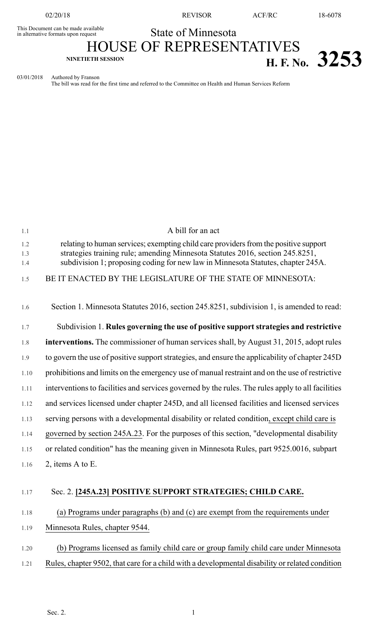02/20/18 REVISOR ACF/RC 18-6078

## State of Minnesota

This Document can be made available<br>in alternative formats upon request

HOUSE OF REPRESENTATIVES **NINETIETH SESSION H. F. No. 3253**

03/01/2018 Authored by Franson

The bill was read for the first time and referred to the Committee on Health and Human Services Reform

| 1.1        | A bill for an act                                                                                                                                                     |
|------------|-----------------------------------------------------------------------------------------------------------------------------------------------------------------------|
| 1.2<br>1.3 | relating to human services; exempting child care providers from the positive support<br>strategies training rule; amending Minnesota Statutes 2016, section 245.8251, |
| 1.4        | subdivision 1; proposing coding for new law in Minnesota Statutes, chapter 245A.                                                                                      |
| 1.5        | BE IT ENACTED BY THE LEGISLATURE OF THE STATE OF MINNESOTA:                                                                                                           |
|            |                                                                                                                                                                       |
| 1.6        | Section 1. Minnesota Statutes 2016, section 245.8251, subdivision 1, is amended to read:                                                                              |
| 1.7        | Subdivision 1. Rules governing the use of positive support strategies and restrictive                                                                                 |
| 1.8        | interventions. The commissioner of human services shall, by August 31, 2015, adopt rules                                                                              |
| 1.9        | to govern the use of positive support strategies, and ensure the applicability of chapter 245D                                                                        |
| 1.10       | prohibitions and limits on the emergency use of manual restraint and on the use of restrictive                                                                        |
| 1.11       | interventions to facilities and services governed by the rules. The rules apply to all facilities                                                                     |
| 1.12       | and services licensed under chapter 245D, and all licensed facilities and licensed services                                                                           |
| 1.13       | serving persons with a developmental disability or related condition, except child care is                                                                            |
| 1.14       | governed by section 245A.23. For the purposes of this section, "developmental disability                                                                              |
| 1.15       | or related condition" has the meaning given in Minnesota Rules, part 9525.0016, subpart                                                                               |
| 1.16       | 2, items $A$ to $E$ .                                                                                                                                                 |
|            |                                                                                                                                                                       |
| 1.17       | Sec. 2. [245A.23] POSITIVE SUPPORT STRATEGIES; CHILD CARE.                                                                                                            |
| 1.18       | (a) Programs under paragraphs (b) and (c) are exempt from the requirements under                                                                                      |
| 1.19       | Minnesota Rules, chapter 9544.                                                                                                                                        |
|            |                                                                                                                                                                       |
| 1.20       | (b) Programs licensed as family child care or group family child care under Minnesota                                                                                 |
| 1.21       | Rules, chapter 9502, that care for a child with a developmental disability or related condition                                                                       |